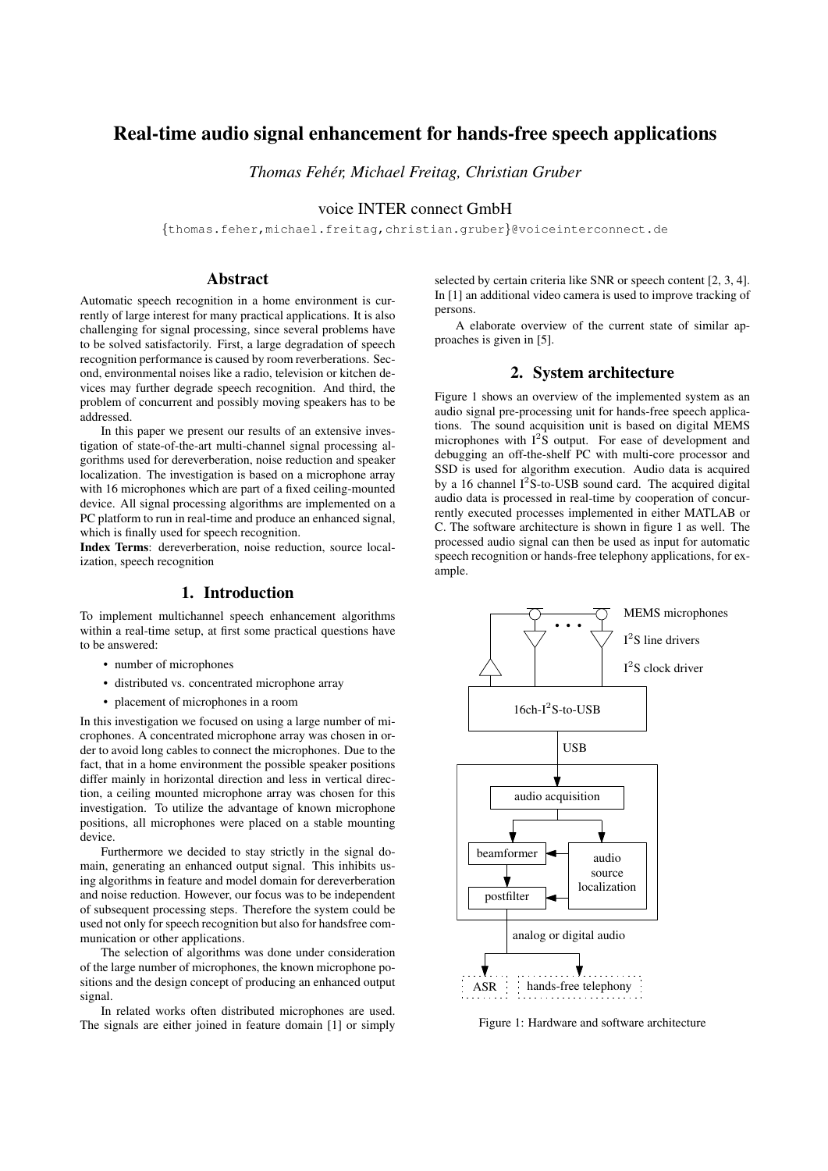# Real-time audio signal enhancement for hands-free speech applications

*Thomas Feher, Michael Freitag, Christian Gruber ´*

voice INTER connect GmbH

{thomas.feher,michael.freitag,christian.gruber}@voiceinterconnect.de

## Abstract

Automatic speech recognition in a home environment is currently of large interest for many practical applications. It is also challenging for signal processing, since several problems have to be solved satisfactorily. First, a large degradation of speech recognition performance is caused by room reverberations. Second, environmental noises like a radio, television or kitchen devices may further degrade speech recognition. And third, the problem of concurrent and possibly moving speakers has to be addressed.

In this paper we present our results of an extensive investigation of state-of-the-art multi-channel signal processing algorithms used for dereverberation, noise reduction and speaker localization. The investigation is based on a microphone array with 16 microphones which are part of a fixed ceiling-mounted device. All signal processing algorithms are implemented on a PC platform to run in real-time and produce an enhanced signal, which is finally used for speech recognition.

Index Terms: dereverberation, noise reduction, source localization, speech recognition

## 1. Introduction

To implement multichannel speech enhancement algorithms within a real-time setup, at first some practical questions have to be answered:

- number of microphones
- distributed vs. concentrated microphone array
- placement of microphones in a room

In this investigation we focused on using a large number of microphones. A concentrated microphone array was chosen in order to avoid long cables to connect the microphones. Due to the fact, that in a home environment the possible speaker positions differ mainly in horizontal direction and less in vertical direction, a ceiling mounted microphone array was chosen for this investigation. To utilize the advantage of known microphone positions, all microphones were placed on a stable mounting device.

Furthermore we decided to stay strictly in the signal domain, generating an enhanced output signal. This inhibits using algorithms in feature and model domain for dereverberation and noise reduction. However, our focus was to be independent of subsequent processing steps. Therefore the system could be used not only for speech recognition but also for handsfree communication or other applications.

The selection of algorithms was done under consideration of the large number of microphones, the known microphone positions and the design concept of producing an enhanced output signal.

In related works often distributed microphones are used. The signals are either joined in feature domain [1] or simply

selected by certain criteria like SNR or speech content [2, 3, 4]. In [1] an additional video camera is used to improve tracking of persons.

A elaborate overview of the current state of similar approaches is given in [5].

#### 2. System architecture

Figure 1 shows an overview of the implemented system as an audio signal pre-processing unit for hands-free speech applications. The sound acquisition unit is based on digital MEMS microphones with  $I^2S$  output. For ease of development and debugging an off-the-shelf PC with multi-core processor and SSD is used for algorithm execution. Audio data is acquired by a 16 channel  $I^2S$ -to-USB sound card. The acquired digital audio data is processed in real-time by cooperation of concurrently executed processes implemented in either MATLAB or C. The software architecture is shown in figure 1 as well. The processed audio signal can then be used as input for automatic speech recognition or hands-free telephony applications, for example.



Figure 1: Hardware and software architecture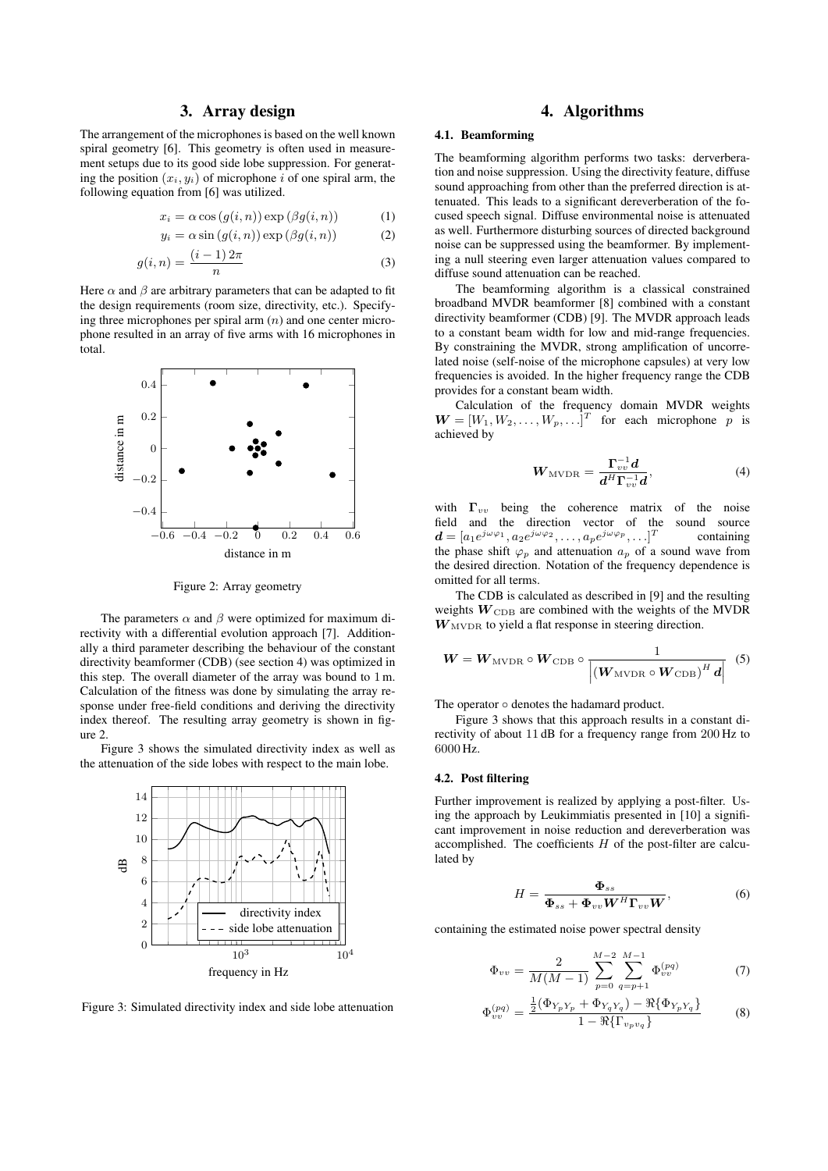#### 3. Array design

The arrangement of the microphones is based on the well known spiral geometry [6]. This geometry is often used in measurement setups due to its good side lobe suppression. For generating the position  $(x_i, y_i)$  of microphone i of one spiral arm, the following equation from [6] was utilized.

$$
x_i = \alpha \cos(g(i, n)) \exp(\beta g(i, n)) \tag{1}
$$

$$
y_i = \alpha \sin(g(i, n)) \exp(\beta g(i, n))
$$
 (2)

$$
g(i,n) = \frac{(i-1)2\pi}{n} \tag{3}
$$

Here  $\alpha$  and  $\beta$  are arbitrary parameters that can be adapted to fit the design requirements (room size, directivity, etc.). Specifying three microphones per spiral arm  $(n)$  and one center microphone resulted in an array of five arms with 16 microphones in total.



Figure 2: Array geometry

The parameters  $\alpha$  and  $\beta$  were optimized for maximum directivity with a differential evolution approach [7]. Additionally a third parameter describing the behaviour of the constant directivity beamformer (CDB) (see section 4) was optimized in this step. The overall diameter of the array was bound to 1 m. Calculation of the fitness was done by simulating the array response under free-field conditions and deriving the directivity index thereof. The resulting array geometry is shown in figure 2.

Figure 3 shows the simulated directivity index as well as the attenuation of the side lobes with respect to the main lobe.



Figure 3: Simulated directivity index and side lobe attenuation

## 4. Algorithms

#### 4.1. Beamforming

The beamforming algorithm performs two tasks: derverberation and noise suppression. Using the directivity feature, diffuse sound approaching from other than the preferred direction is attenuated. This leads to a significant dereverberation of the focused speech signal. Diffuse environmental noise is attenuated as well. Furthermore disturbing sources of directed background noise can be suppressed using the beamformer. By implementing a null steering even larger attenuation values compared to diffuse sound attenuation can be reached.

The beamforming algorithm is a classical constrained broadband MVDR beamformer [8] combined with a constant directivity beamformer (CDB) [9]. The MVDR approach leads to a constant beam width for low and mid-range frequencies. By constraining the MVDR, strong amplification of uncorrelated noise (self-noise of the microphone capsules) at very low frequencies is avoided. In the higher frequency range the CDB provides for a constant beam width.

Calculation of the frequency domain MVDR weights  $\mathbf{W} = [W_1, W_2, \dots, W_p, \dots]^T$  for each microphone p is achieved by

$$
W_{\text{MVDR}} = \frac{\Gamma_{vv}^{-1}d}{d^H \Gamma_{vv}^{-1}d},\tag{4}
$$

with  $\Gamma_{vv}$  being the coherence matrix of the noise field and the direction vector of the sound source  $\boldsymbol{d} = [a_1 e^{j \omega \varphi_1}, a_2 e^{j \omega \varphi_2}, \dots, a_p e^{j \omega \varphi_p}, \dots]^T$ containing the phase shift  $\varphi_p$  and attenuation  $a_p$  of a sound wave from the desired direction. Notation of the frequency dependence is omitted for all terms.

The CDB is calculated as described in [9] and the resulting weights  $W_{CDB}$  are combined with the weights of the MVDR  $W<sub>MVDR</sub>$  to yield a flat response in steering direction.

$$
W = W_{\text{MVDR}} \circ W_{\text{CDB}} \circ \frac{1}{\left| \left( W_{\text{MVDR}} \circ W_{\text{CDB}} \right)^H d \right|} \tag{5}
$$

The operator ◦ denotes the hadamard product.

Figure 3 shows that this approach results in a constant directivity of about 11 dB for a frequency range from 200 Hz to 6000 Hz.

#### 4.2. Post filtering

Further improvement is realized by applying a post-filter. Using the approach by Leukimmiatis presented in [10] a significant improvement in noise reduction and dereverberation was accomplished. The coefficients  $H$  of the post-filter are calculated by

$$
H = \frac{\Phi_{ss}}{\Phi_{ss} + \Phi_{vv} W^H \Gamma_{vv} W},
$$
(6)

containing the estimated noise power spectral density

$$
\Phi_{vv} = \frac{2}{M(M-1)} \sum_{p=0}^{M-2} \sum_{q=p+1}^{M-1} \Phi_{vv}^{(pq)} \tag{7}
$$

$$
\Phi_{vv}^{(pq)} = \frac{\frac{1}{2}(\Phi_{Y_p Y_p} + \Phi_{Y_q Y_q}) - \Re{\{\Phi_{Y_p Y_q}\}}}{1 - \Re{\{\Gamma_{v_p v_q}\}}}
$$
(8)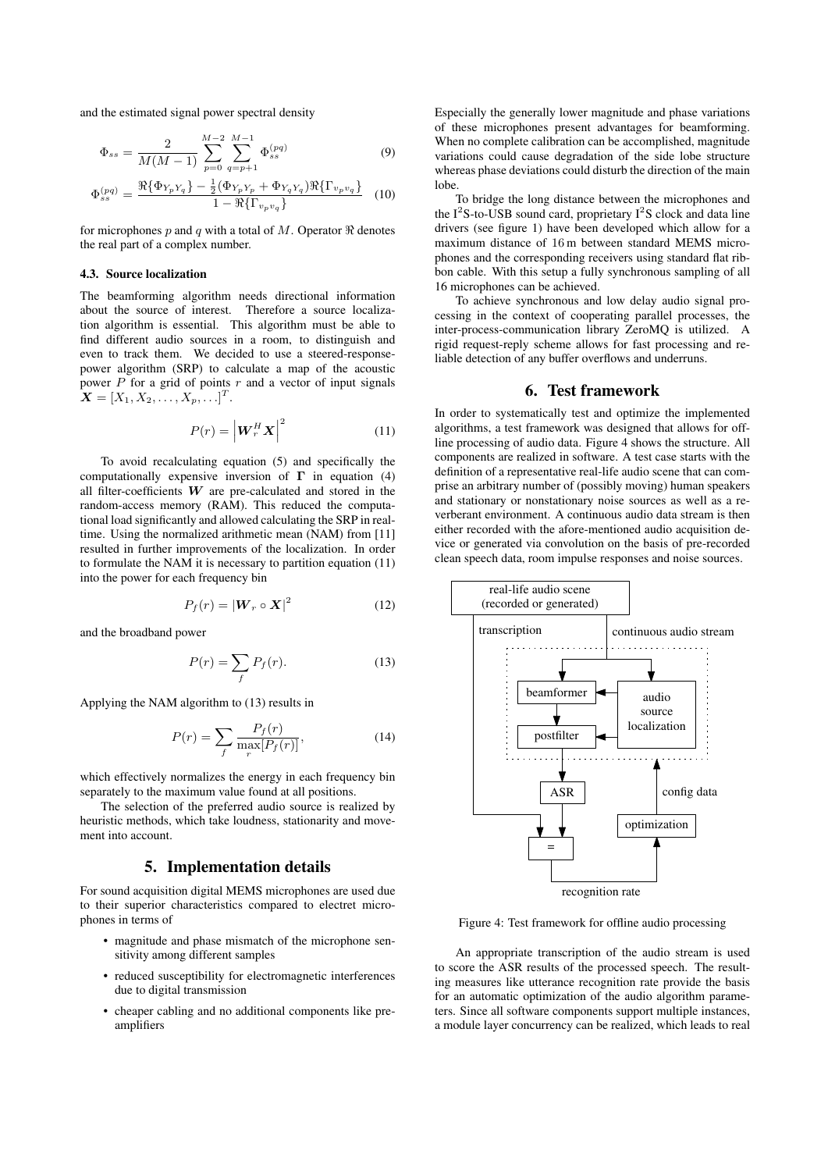and the estimated signal power spectral density

$$
\Phi_{ss} = \frac{2}{M(M-1)} \sum_{p=0}^{M-2} \sum_{q=p+1}^{M-1} \Phi_{ss}^{(pq)} \tag{9}
$$

$$
\Phi_{ss}^{(pq)} = \frac{\Re{\{\Phi_{Y_p Y_q}\}} - \frac{1}{2}(\Phi_{Y_p Y_p} + \Phi_{Y_q Y_q})\Re{\{\Gamma_{v_p v_q}\}}}{1 - \Re{\{\Gamma_{v_p v_q}\}}}
$$
(10)

for microphones p and q with a total of M. Operator  $\Re$  denotes the real part of a complex number.

#### 4.3. Source localization

The beamforming algorithm needs directional information about the source of interest. Therefore a source localization algorithm is essential. This algorithm must be able to find different audio sources in a room, to distinguish and even to track them. We decided to use a steered-responsepower algorithm (SRP) to calculate a map of the acoustic power  $P$  for a grid of points  $r$  and a vector of input signals  $\boldsymbol{X} = [X_1, X_2, \ldots, X_p, \ldots]^T.$ 

$$
P(r) = \left| \boldsymbol{W}_r^H \boldsymbol{X} \right|^2 \tag{11}
$$

To avoid recalculating equation (5) and specifically the computationally expensive inversion of  $\Gamma$  in equation (4) all filter-coefficients  $W$  are pre-calculated and stored in the random-access memory (RAM). This reduced the computational load significantly and allowed calculating the SRP in realtime. Using the normalized arithmetic mean (NAM) from [11] resulted in further improvements of the localization. In order to formulate the NAM it is necessary to partition equation (11) into the power for each frequency bin

$$
P_f(r) = |\mathbf{W}_r \circ \mathbf{X}|^2 \tag{12}
$$

and the broadband power

$$
P(r) = \sum_{f} P_f(r). \tag{13}
$$

Applying the NAM algorithm to (13) results in

$$
P(r) = \sum_{f} \frac{P_f(r)}{\max_{r} [P_f(r)]},\tag{14}
$$

which effectively normalizes the energy in each frequency bin separately to the maximum value found at all positions.

The selection of the preferred audio source is realized by heuristic methods, which take loudness, stationarity and movement into account.

#### 5. Implementation details

For sound acquisition digital MEMS microphones are used due to their superior characteristics compared to electret microphones in terms of

- magnitude and phase mismatch of the microphone sensitivity among different samples
- reduced susceptibility for electromagnetic interferences due to digital transmission
- cheaper cabling and no additional components like preamplifiers

Especially the generally lower magnitude and phase variations of these microphones present advantages for beamforming. When no complete calibration can be accomplished, magnitude variations could cause degradation of the side lobe structure whereas phase deviations could disturb the direction of the main lobe.

To bridge the long distance between the microphones and the  $I^2S$ -to-USB sound card, proprietary  $I^2S$  clock and data line drivers (see figure 1) have been developed which allow for a maximum distance of 16 m between standard MEMS microphones and the corresponding receivers using standard flat ribbon cable. With this setup a fully synchronous sampling of all 16 microphones can be achieved.

To achieve synchronous and low delay audio signal processing in the context of cooperating parallel processes, the inter-process-communication library ZeroMQ is utilized. A rigid request-reply scheme allows for fast processing and reliable detection of any buffer overflows and underruns.

## 6. Test framework

In order to systematically test and optimize the implemented algorithms, a test framework was designed that allows for offline processing of audio data. Figure 4 shows the structure. All components are realized in software. A test case starts with the definition of a representative real-life audio scene that can comprise an arbitrary number of (possibly moving) human speakers and stationary or nonstationary noise sources as well as a reverberant environment. A continuous audio data stream is then either recorded with the afore-mentioned audio acquisition device or generated via convolution on the basis of pre-recorded clean speech data, room impulse responses and noise sources.



Figure 4: Test framework for offline audio processing

An appropriate transcription of the audio stream is used to score the ASR results of the processed speech. The resulting measures like utterance recognition rate provide the basis for an automatic optimization of the audio algorithm parameters. Since all software components support multiple instances, a module layer concurrency can be realized, which leads to real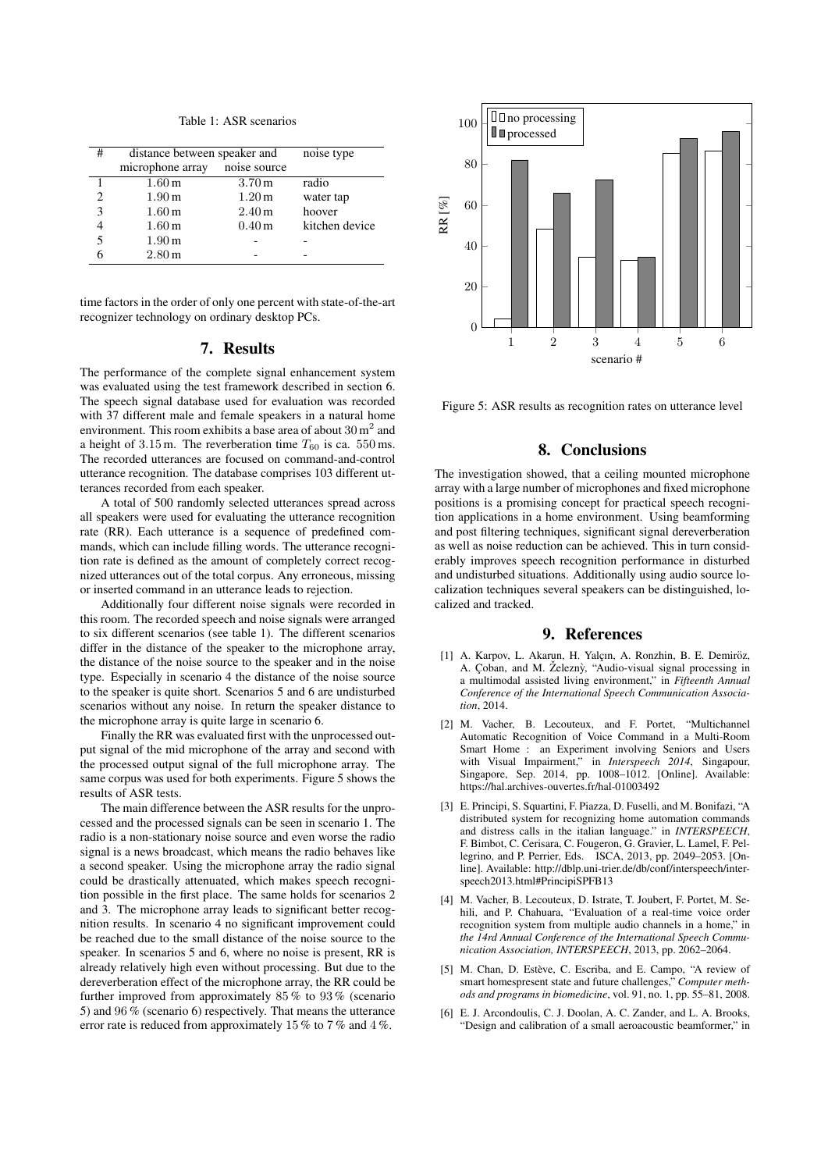Table 1: ASR scenarios

| # | distance between speaker and |                   | noise type     |
|---|------------------------------|-------------------|----------------|
|   | microphone array             | noise source      |                |
|   | 1.60 <sub>m</sub>            | 3.70 <sub>m</sub> | radio          |
|   | 1.90 <sub>m</sub>            | 1.20 m            | water tap      |
| 3 | 1.60 <sub>m</sub>            | 2.40 m            | hoover         |
|   | 1.60 <sub>m</sub>            | 0.40 <sub>m</sub> | kitchen device |
| 5 | 1.90 <sub>m</sub>            |                   |                |
|   | 2.80 <sub>m</sub>            |                   |                |

time factors in the order of only one percent with state-of-the-art recognizer technology on ordinary desktop PCs.

#### 7. Results

The performance of the complete signal enhancement system was evaluated using the test framework described in section 6. The speech signal database used for evaluation was recorded with 37 different male and female speakers in a natural home environment. This room exhibits a base area of about  $30 \text{ m}^2$  and a height of 3.15 m. The reverberation time  $T_{60}$  is ca. 550 ms. The recorded utterances are focused on command-and-control utterance recognition. The database comprises 103 different utterances recorded from each speaker.

A total of 500 randomly selected utterances spread across all speakers were used for evaluating the utterance recognition rate (RR). Each utterance is a sequence of predefined commands, which can include filling words. The utterance recognition rate is defined as the amount of completely correct recognized utterances out of the total corpus. Any erroneous, missing or inserted command in an utterance leads to rejection.

Additionally four different noise signals were recorded in this room. The recorded speech and noise signals were arranged to six different scenarios (see table 1). The different scenarios differ in the distance of the speaker to the microphone array, the distance of the noise source to the speaker and in the noise type. Especially in scenario 4 the distance of the noise source to the speaker is quite short. Scenarios 5 and 6 are undisturbed scenarios without any noise. In return the speaker distance to the microphone array is quite large in scenario 6.

Finally the RR was evaluated first with the unprocessed output signal of the mid microphone of the array and second with the processed output signal of the full microphone array. The same corpus was used for both experiments. Figure 5 shows the results of ASR tests.

The main difference between the ASR results for the unprocessed and the processed signals can be seen in scenario 1. The radio is a non-stationary noise source and even worse the radio signal is a news broadcast, which means the radio behaves like a second speaker. Using the microphone array the radio signal could be drastically attenuated, which makes speech recognition possible in the first place. The same holds for scenarios 2 and 3. The microphone array leads to significant better recognition results. In scenario 4 no significant improvement could be reached due to the small distance of the noise source to the speaker. In scenarios 5 and 6, where no noise is present, RR is already relatively high even without processing. But due to the dereverberation effect of the microphone array, the RR could be further improved from approximately 85 % to 93 % (scenario 5) and 96  $\%$  (scenario 6) respectively. That means the utterance error rate is reduced from approximately 15 % to 7 % and 4 %.



Figure 5: ASR results as recognition rates on utterance level

# 8. Conclusions

The investigation showed, that a ceiling mounted microphone array with a large number of microphones and fixed microphone positions is a promising concept for practical speech recognition applications in a home environment. Using beamforming and post filtering techniques, significant signal dereverberation as well as noise reduction can be achieved. This in turn considerably improves speech recognition performance in disturbed and undisturbed situations. Additionally using audio source localization techniques several speakers can be distinguished, localized and tracked.

#### 9. References

- [1] A. Karpov, L. Akarun, H. Yalçın, A. Ronzhin, B. E. Demiröz, A. Coban, and M. Železnỳ, "Audio-visual signal processing in a multimodal assisted living environment," in *Fifteenth Annual Conference of the International Speech Communication Association*, 2014.
- [2] M. Vacher, B. Lecouteux, and F. Portet, "Multichannel Automatic Recognition of Voice Command in a Multi-Room Smart Home : an Experiment involving Seniors and Users with Visual Impairment," in *Interspeech 2014*, Singapour, Singapore, Sep. 2014, pp. 1008–1012. [Online]. Available: https://hal.archives-ouvertes.fr/hal-01003492
- [3] E. Principi, S. Squartini, F. Piazza, D. Fuselli, and M. Bonifazi, "A distributed system for recognizing home automation commands and distress calls in the italian language." in *INTERSPEECH*, F. Bimbot, C. Cerisara, C. Fougeron, G. Gravier, L. Lamel, F. Pellegrino, and P. Perrier, Eds. ISCA, 2013, pp. 2049–2053. [Online]. Available: http://dblp.uni-trier.de/db/conf/interspeech/interspeech2013.html#PrincipiSPFB13
- [4] M. Vacher, B. Lecouteux, D. Istrate, T. Joubert, F. Portet, M. Sehili, and P. Chahuara, "Evaluation of a real-time voice order recognition system from multiple audio channels in a home," in *the 14rd Annual Conference of the International Speech Communication Association, INTERSPEECH*, 2013, pp. 2062–2064.
- [5] M. Chan, D. Estève, C. Escriba, and E. Campo, "A review of smart homespresent state and future challenges," *Computer methods and programs in biomedicine*, vol. 91, no. 1, pp. 55–81, 2008.
- [6] E. J. Arcondoulis, C. J. Doolan, A. C. Zander, and L. A. Brooks, "Design and calibration of a small aeroacoustic beamformer," in